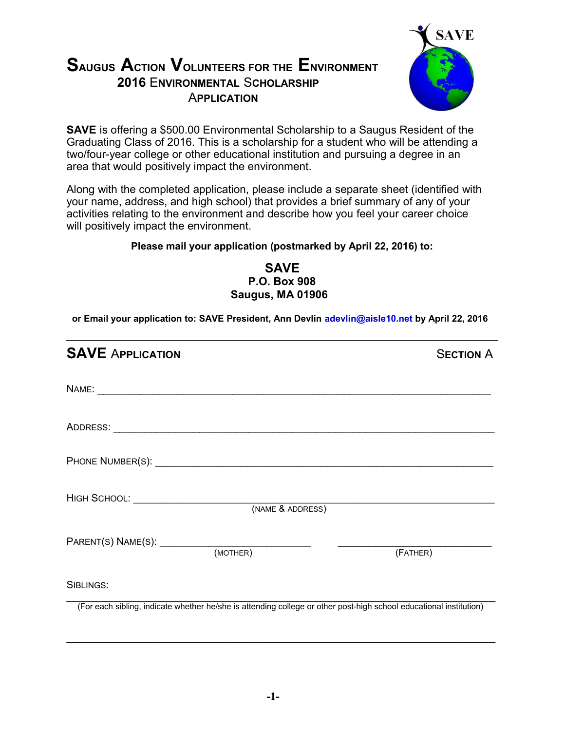## **SAUGUS ACTION VOLUNTEERS FOR THE ENVIRONMENT 2016** E**NVIRONMENTAL** S**CHOLARSHIP** A**PPLICATION**



**SAVE** is offering a \$500.00 Environmental Scholarship to a Saugus Resident of the Graduating Class of 2016. This is a scholarship for a student who will be attending a two/four-year college or other educational institution and pursuing a degree in an area that would positively impact the environment.

Along with the completed application, please include a separate sheet (identified with your name, address, and high school) that provides a brief summary of any of your activities relating to the environment and describe how you feel your career choice will positively impact the environment.

## **Please mail your application (postmarked by April 22, 2016) to:**

**SAVE P.O. Box 908 Saugus, MA 01906**

**or Email your application to: SAVE President, Ann Devlin adevlin@aisle10.net by April 22, 2016**

| <b>SAVE APPLICATION</b>                          |                  | <b>SECTION A</b>                                                                                                   |
|--------------------------------------------------|------------------|--------------------------------------------------------------------------------------------------------------------|
|                                                  |                  |                                                                                                                    |
|                                                  |                  |                                                                                                                    |
|                                                  |                  |                                                                                                                    |
| HIGH SCHOOL: <u>____________________________</u> | (NAME & ADDRESS) |                                                                                                                    |
|                                                  |                  | (FATHER)                                                                                                           |
| SIBLINGS:                                        |                  |                                                                                                                    |
|                                                  |                  | (For each sibling, indicate whether he/she is attending college or other post-high school educational institution) |

\_\_\_\_\_\_\_\_\_\_\_\_\_\_\_\_\_\_\_\_\_\_\_\_\_\_\_\_\_\_\_\_\_\_\_\_\_\_\_\_\_\_\_\_\_\_\_\_\_\_\_\_\_\_\_\_\_\_\_\_\_\_\_\_\_\_\_\_\_\_\_\_\_\_\_\_